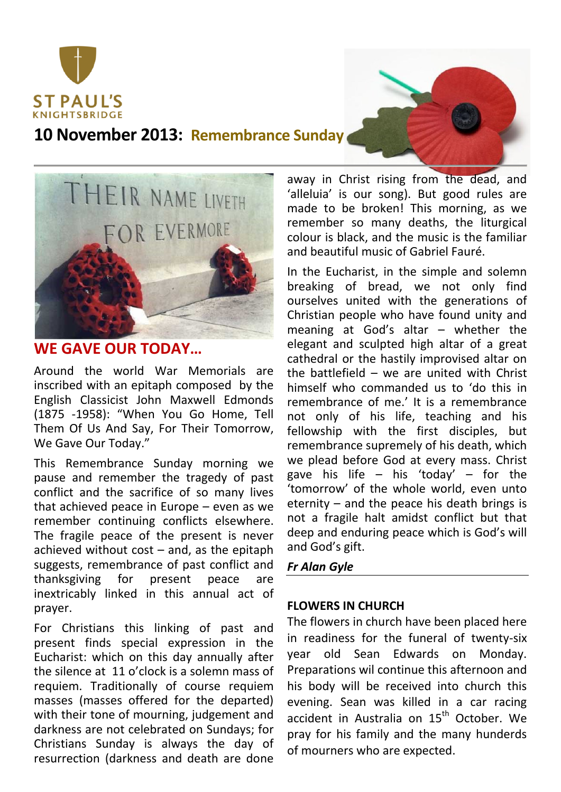

**10 November 2013: Remembrance Sunday**



## **WE GAVE OUR TODAY…**

Around the world War Memorials are inscribed with an epitaph composed by the English Classicist John Maxwell Edmonds (1875 -1958): "When You Go Home, Tell Them Of Us And Say, For Their Tomorrow, We Gave Our Today."

This Remembrance Sunday morning we pause and remember the tragedy of past conflict and the sacrifice of so many lives that achieved peace in Europe – even as we remember continuing conflicts elsewhere. The fragile peace of the present is never achieved without  $cost - and$ , as the epitaph suggests, remembrance of past conflict and thanksgiving for present peace are inextricably linked in this annual act of prayer.

For Christians this linking of past and present finds special expression in the Eucharist: which on this day annually after the silence at 11 o'clock is a solemn mass of requiem. Traditionally of course requiem masses (masses offered for the departed) with their tone of mourning, judgement and darkness are not celebrated on Sundays; for Christians Sunday is always the day of resurrection (darkness and death are done

away in Christ rising from the dead, and 'alleluia' is our song). But good rules are made to be broken! This morning, as we remember so many deaths, the liturgical colour is black, and the music is the familiar and beautiful music of Gabriel Fauré.

In the Eucharist, in the simple and solemn breaking of bread, we not only find ourselves united with the generations of Christian people who have found unity and meaning at God's altar – whether the elegant and sculpted high altar of a great cathedral or the hastily improvised altar on the battlefield – we are united with Christ himself who commanded us to 'do this in remembrance of me.' It is a remembrance not only of his life, teaching and his fellowship with the first disciples, but remembrance supremely of his death, which we plead before God at every mass. Christ gave his life  $-$  his 'today'  $-$  for the 'tomorrow' of the whole world, even unto eternity – and the peace his death brings is not a fragile halt amidst conflict but that deep and enduring peace which is God's will and God's gift.

## *Fr Alan Gyle*

## **FLOWERS IN CHURCH**

The flowers in church have been placed here in readiness for the funeral of twenty-six year old Sean Edwards on Monday. Preparations wil continue this afternoon and his body will be received into church this evening. Sean was killed in a car racing accident in Australia on 15<sup>th</sup> October. We pray for his family and the many hunderds of mourners who are expected.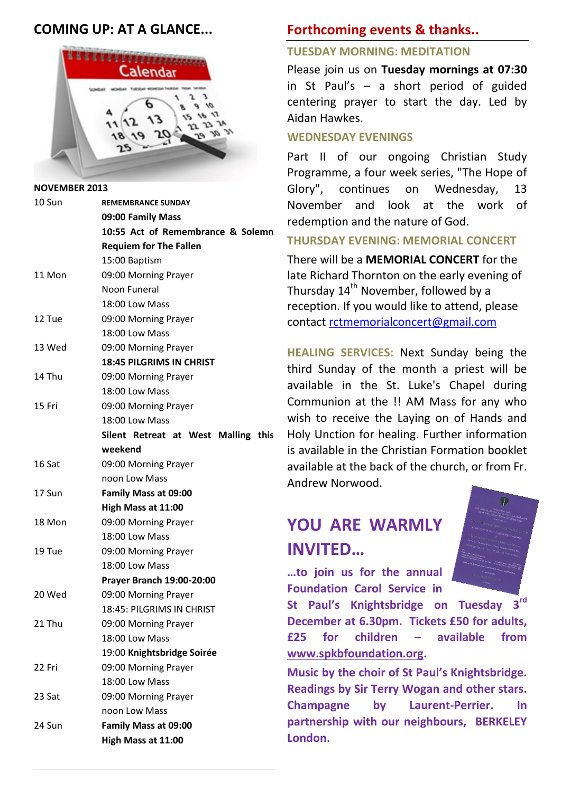## **COMING UP: AT A GLANCE...**



**NOVEMBER 2013** 10 Sun **REMEMBRANCE SUNDAY 09:00 Family Mass 10:55 Act of Remembrance & Solemn Requiem for The Fallen** 15:00 Baptism 11 Mon 09:00 Morning Prayer Noon Funeral 18:00 Low Mass 12 Tue 09:00 Morning Prayer 18:00 Low Mass 13 Wed 09:00 Morning Prayer **18:45 PILGRIMS IN CHRIST** 14 Thu 09:00 Morning Prayer 18:00 Low Mass 15 Fri 09:00 Morning Prayer 18:00 Low Mass **Silent Retreat at West Malling this weekend** 16 Sat 09:00 Morning Prayer noon Low Mass 17 Sun **Family Mass at 09:00 High Mass at 11:00**  18 Mon 09:00 Morning Prayer 18:00 Low Mass 19 Tue 09:00 Morning Prayer 18:00 Low Mass **Prayer Branch 19:00-20:00** 20 Wed 09:00 Morning Prayer 18:45: PILGRIMS IN CHRIST 21 Thu 09:00 Morning Prayer 18:00 Low Mass 19:00 **Knightsbridge Soirée** 22 Fri 09:00 Morning Prayer 18:00 Low Mass 23 Sat 09:00 Morning Prayer noon Low Mass 24 Sun **Family Mass at 09:00**

**High Mass at 11:00**

## **Forthcoming events & thanks..**

### **TUESDAY MORNING: MEDITATION**

Please join us on **Tuesday mornings at 07:30** in St Paul's – a short period of guided centering prayer to start the day. Led by Aidan Hawkes.

### **WEDNESDAY EVENINGS**

Part II of our ongoing Christian Study Programme, a four week series, "The Hope of Glory", continues on Wednesday, 13 November and look at the work of redemption and the nature of God.

### **THURSDAY EVENING: MEMORIAL CONCERT**

There will be a **MEMORIAL CONCERT** for the late Richard Thornton on the early evening of Thursday 14<sup>th</sup> November, followed by a reception. If you would like to attend, please contact [rctmemorialconcert@gmail.com](mailto:rctmemorialconcert@gmail.com)

**HEALING SERVICES:** Next Sunday being the third Sunday of the month a priest will be available in the St. Luke's Chapel during Communion at the !! AM Mass for any who wish to receive the Laying on of Hands and Holy Unction for healing. Further information is available in the Christian Formation booklet available at the back of the church, or from Fr. Andrew Norwood.

# **YOU ARE WARMLY INVITED…**



**…to join us for the annual Foundation Carol Service in** 

**St Paul's Knightsbridge on Tuesday 3rd December at 6.30pm. Tickets £50 for adults, £25 for children – available from [www.spkbfoundation.org.](http://www.spkbfoundation.org/)**

**Music by the choir of St Paul's Knightsbridge. Readings by Sir Terry Wogan and other stars. Champagne by Laurent-Perrier. In partnership with our neighbours, BERKELEY London.**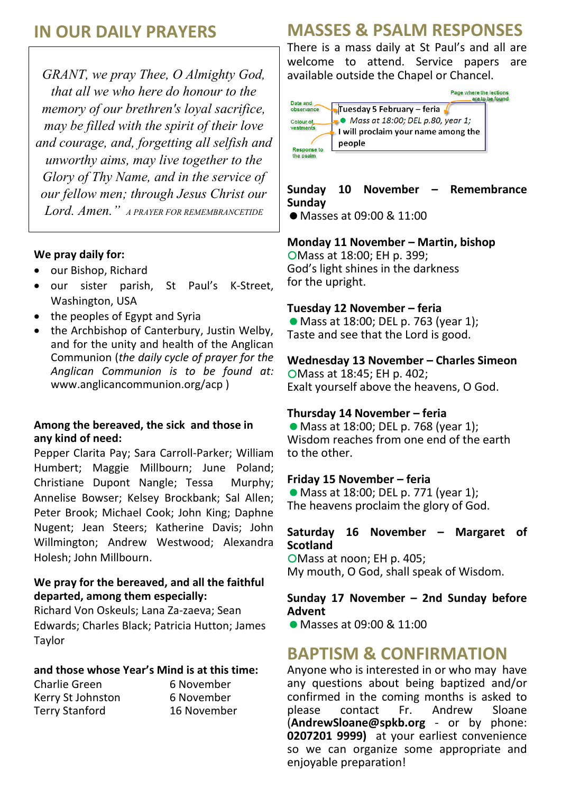## **IN OUR DAILY PRAYERS**

*GRANT, we pray Thee, O Almighty God, that all we who here do honour to the memory of our brethren's loyal sacrifice, may be filled with the spirit of their love and courage, and, forgetting all selfish and unworthy aims, may live together to the Glory of Thy Name, and in the service of our fellow men; through Jesus Christ our Lord. Amen." A PRAYER FOR REMEMBRANCETIDE*

### **We pray daily for:**

- our Bishop, Richard
- our sister parish, St Paul's K-Street, Washington, USA
- the peoples of Egypt and Syria
- the Archbishop of Canterbury, Justin Welby, and for the unity and health of the Anglican Communion (*the daily cycle of prayer for the Anglican Communion is to be found at:* www.anglicancommunion.org/acp )

#### **Among the bereaved, the sick and those in any kind of need:**

Pepper Clarita Pay; Sara Carroll-Parker; William Humbert; Maggie Millbourn; June Poland; Christiane Dupont Nangle; Tessa Murphy; Annelise Bowser; Kelsey Brockbank; Sal Allen; Peter Brook; Michael Cook; John King; Daphne Nugent; Jean Steers; Katherine Davis; John Willmington; Andrew Westwood; Alexandra Holesh; John Millbourn.

### **We pray for the bereaved, and all the faithful departed, among them especially:**

Richard Von Oskeuls; Lana Za-zaeva; Sean Edwards; Charles Black; Patricia Hutton; James Taylor

#### **and those whose Year's Mind is at this time:**

Charlie Green 6 November Kerry St Johnston 6 November Terry Stanford 16 November

## **MASSES & PSALM RESPONSES**

There is a mass daily at St Paul's and all are welcome to attend. Service papers are available outside the Chapel or Chancel.



## **Sunday 10 November – Remembrance Sunday**

● Masses at 09:00 & 11:00

### **Monday 11 November – Martin, bishop**

Mass at 18:00; EH p. 399; God's light shines in the darkness for the upright.

#### **Tuesday 12 November – feria**

● Mass at 18:00; DEL p. 763 (year 1); Taste and see that the Lord is good.

### **Wednesday 13 November – Charles Simeon**

Mass at 18:45; EH p. 402; Exalt yourself above the heavens, O God.

#### **Thursday 14 November – feria**

● Mass at 18:00; DEL p. 768 (year 1); Wisdom reaches from one end of the earth to the other.

#### **Friday 15 November – feria**

● Mass at 18:00; DEL p. 771 (year 1); The heavens proclaim the glory of God.

#### **Saturday 16 November – Margaret of Scotland**

OMass at noon; EH p. 405; My mouth, O God, shall speak of Wisdom.

#### **Sunday 17 November – 2nd Sunday before Advent**

Masses at 09:00 & 11:00

## **BAPTISM & CONFIRMATION**

Anyone who is interested in or who may have any questions about being baptized and/or confirmed in the coming months is asked to please contact Fr. Andrew Sloane (**AndrewSloane@spkb.org** - or by phone: **0207201 9999)** at your earliest convenience so we can organize some appropriate and enjoyable preparation!